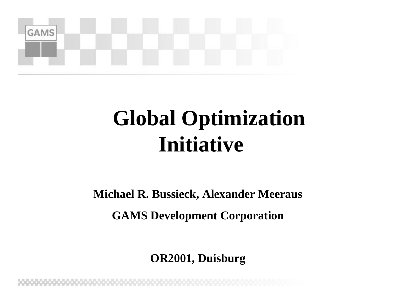

### **Global Optimization Initiative**

**Michael R. Bussieck, Alexander Meeraus** 

**GAMS Development Corporation**

**OR2001, Duisburg**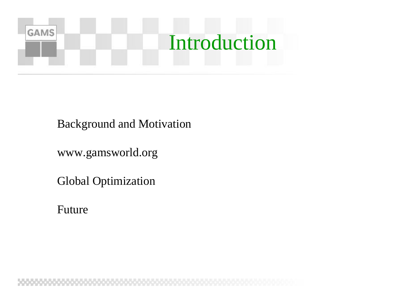![](_page_1_Picture_0.jpeg)

Background and Motivation

www.gamsworld.org

Global Optimization

Future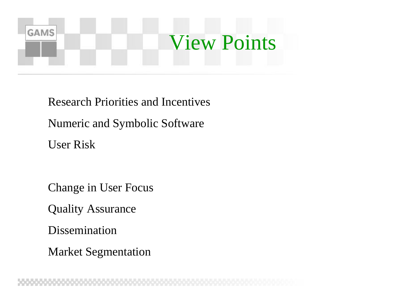## **GAMS** View Points

Research Priorities and Incentives Numeric and Symbolic Software User Risk

nChange in User Focus

**Quality Assurance** 

Dissemination

**Market Segmentation**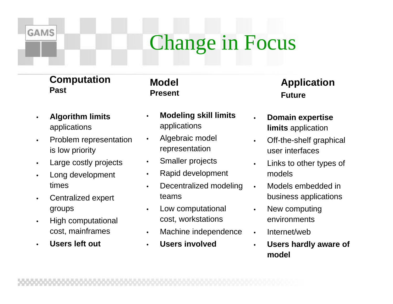### Change in Focus

### **Computation Past**

**GAMS** 

**Model Present**

- **Algorithm limits**  applications
- Problem representation is low priority
- Large costly projects
- Long development times
- Centralized expert groups
- High computational cost, mainframes
- **Users left out**
- **Modeling skill limits** applications
- Algebraic model representation
- Smaller projects
- Rapid development
- Decentralized modeling teams
- Low computational cost, workstations
- Machine independence
- **Users involved**

### **Application Future**

- **Domain expertise limits** application
- Off-the-shelf graphical user interfaces
- Links to other types of models
- Models embedded in business applications
- New computing environments
- Internet/web
- **Users hardly aware of model**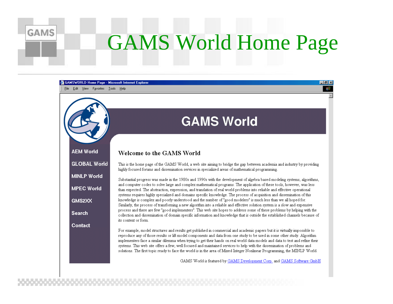## GAMS World Home Page

![](_page_4_Figure_1.jpeg)

**GAMS**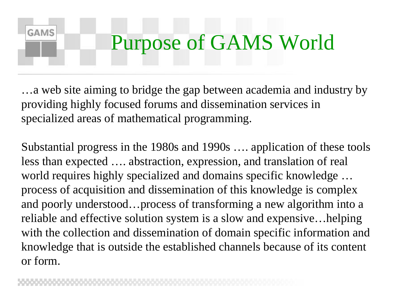## Purpose of GAMS World

…a web site aiming to bridge the gap between academia and industry by providing highly focused forums and dissemination services in specialized areas of mathematical programming.

Substantial progress in the 1980s and 1990s …. application of these tools less than expected …. abstraction, expression, and translation of real world requires highly specialized and domains specific knowledge … process of acquisition and dissemination of this knowledge is complex and poorly understood…process of transforming a new algorithm into a reliable and effective solution system is a slow and expensive…helping with the collection and dissemination of domain specific information and knowledge that is outside the established channels because of its content or form.

**GAMS**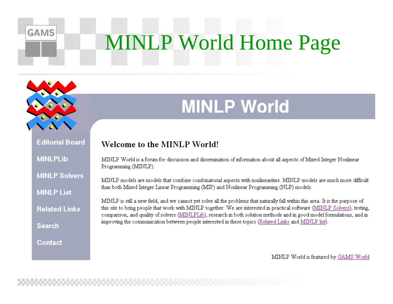# **MINLP World Home Page**

![](_page_6_Picture_1.jpeg)

**GAMS** 

### **MINLP World**

**Editorial Board MINLPLib** 

**MINLP Solvers** 

**MINLP List** 

**Related Links** 

**Search** 

Contact

MINLP World is a forum for discussion and dissemination of information about all aspects of Mixed Integer Nonlinear Programming (MINLP).

MINLP models are models that combine combinatorial aspects with nonlinearities. MINLP models are much more difficult than both Mixed Integer Linear Programming (MIP) and Nonlinear Programming (NLP) models.

MINLP is still a new field, and we cannot yet solve all the problems that naturally fall within this area. It is the purpose of this site to bring people that work with MINLP together. We are interested in practical software (MINLP Solvers), testing, comparison, and quality of solvers (MINLPLib), research in both solution methods and in good model formulations, and in improving the communication between people interested in these topics (Related Links and MINLP list).

MINLP World is featured by GAMS World

Welcome to the MINLP World!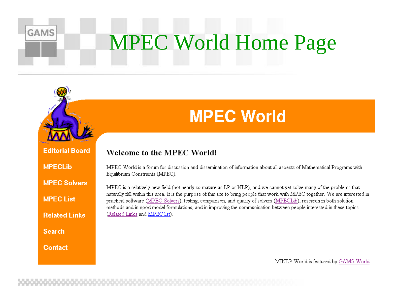# **MPEC World Home Page**

![](_page_7_Picture_1.jpeg)

**GAMS** 

### **MPEC World**

### Welcome to the MPEC World!

**MPECLIb** 

**MPEC List** 

**MPEC Solvers** 

**Related Links** 

MPEC World is a forum for discussion and dissemination of information about all aspects of Mathematical Programs with Equilibrium Constraints (MPEC).

MPEC is a relatively new field (not nearly so mature as LP or NLP), and we cannot yet solve many of the problems that naturally fall within this area. It is the purpose of this site to bring people that work with MPEC together. We are interested in practical software (MPEC Solvers), testing, comparison, and quality of solvers (MPECLib), research in both solution methods and in good model formulations, and in improving the communication between people interested in these topics (Related Links and MPEC list).

**Search** 

**Contact** 

MINLP World is featured by GAMS World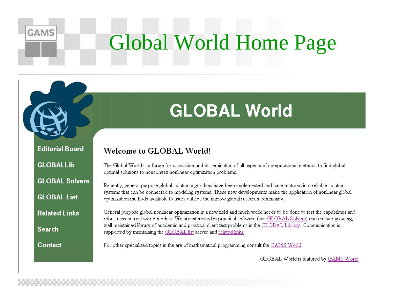## Global World Home Page

### **GLOBAL World**

**Editorial Board** 

**GLOBALLib** 

**GAMS** 

**GLOBAL Solvers** 

**GLOBAL List** 

**Related Links** 

**Search** 

Contact

The Global World is a forum for discussion and dissemination of all aspects of computational methods to find global optimal solutions to nonconvex nonlinear optimization problems.

Recently, general purpose global solution algorithms have been implemented and have matured into reliable solution systems that can be connected to modeling systems. These new developments make the application of nonlinear global optimization methods available to users outside the narrow global research community.

General purpose global nonlinear optimization is a new field and much work needs to be done to test the capabilities and robustness on real world models. We are interested in practical software (see GLOBAL Solvers) and an ever growing, well maintained library of academic and practical client test problems in the GLOBAL Library. Communication is supported by maintaining the GLOBAL list server and related links.

For other specialized topics in the are of mathematical programming consult the GAMS World.

**Welcome to GLOBAL World!** 

GLOBAL World is featured by GAMS World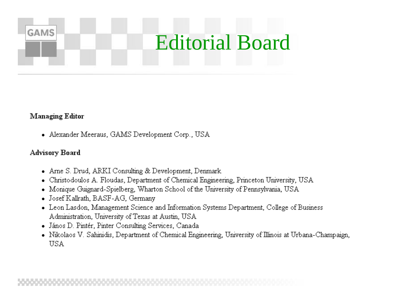## **Editorial Board**

### **Managing Editor**

**GAMS** 

• Alexander Meeraus, GAMS Development Corp., USA

### Advisory Board

- Arne S. Drud, ARKI Consulting & Development, Denmark
- Christodoulos A. Floudas, Department of Chemical Engineering, Princeton University, USA
- Monique Guignard-Spielberg, Wharton School of the University of Pennsylvania, USA
- Josef Kallrath, BASF-AG, Germany
- Leon Lasdon, Management Science and Information Systems Department, College of Business Administration, University of Texas at Austin, USA
- János D. Pintér, Pinter Consulting Services, Canada
- Nikolaos V. Sahinidis, Department of Chemical Engineering, University of Illinois at Urbana-Champaign, **USA**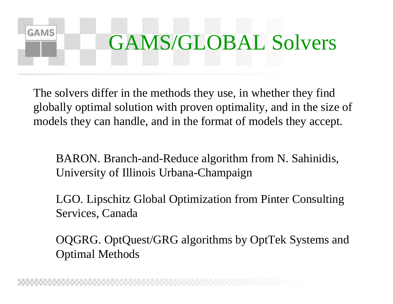## **GAMS** GAMS/GLOBAL Solvers

The solvers differ in the methods they use, in whether they find globally optimal solution with proven optimality, and in the size of models they can handle, and in the format of models they accept.

BARON. Branch-and-Reduce algorithm from N. Sahinidis, University of Illinois Urbana-Champaign

LGO. Lipschitz Global Optimization from Pinter Consulting Services, Canada

OQGRG. OptQuest/GRG algorithms by OptTek Systems and Optimal Methods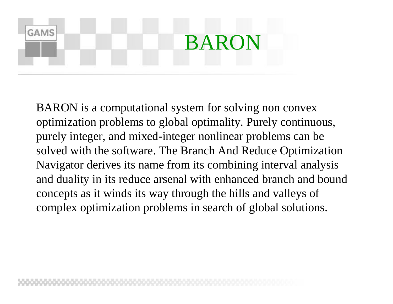## **GAMS** BARON

BARON is a computational system for solving non convex optimization problems to global optimality. Purely continuous, purely integer, and mixed-integer nonlinear problems can be solved with the software. The Branch And Reduce Optimization Navigator derives its name from its combining interval analysis and duality in its reduce arsenal with enhanced branch and bound concepts as it winds its way through the hills and valleys of complex optimization problems in search of global solutions.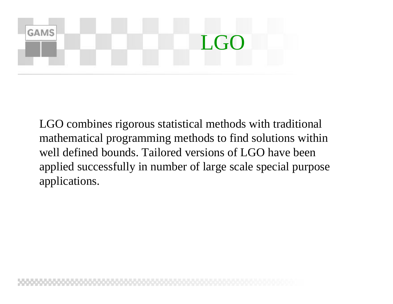![](_page_12_Figure_0.jpeg)

LGO combines rigorous statistical methods with traditional mathematical programming methods to find solutions within well defined bounds. Tailored versions of LGO have been applied successfully in number of large scale special purpose applications.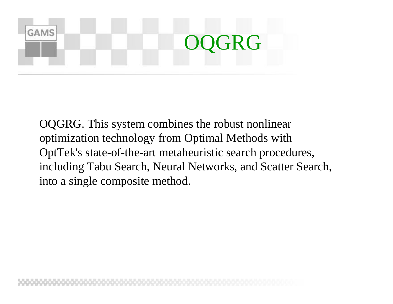## **GAMS** GRG

OQGRG. This system combines the robust nonlinear optimization technology from Optimal Methods with OptTek's state-of-the-art metaheuristic search procedures, including Tabu Search, Neural Networks, and Scatter Search, into a single composite method.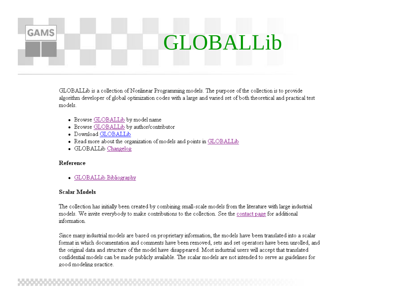## GLOBALLib

GLOBALLib is a collection of Nonlinear Programming models. The purpose of the collection is to provide algorithm developer of global optimization codes with a large and varied set of both theoretical and practical test models

- Browse GLOBALLib by model name
- Browse GLOBALLib by author/contributor
- Download GLOBALLib
- Read more about the organization of models and points in GLOBALLib
- GLOBALLib Changelog

#### Reference

**GAMS** 

GLOBALLib Bibliography

#### **Scalar Models**

The collection has initially been created by combining small-scale models from the literature with large industrial models. We invite everybody to make contributions to the collection. See the contact page for additional information.

Since many industrial models are based on proprietary information, the models have been translated into a scalar format in which documentation and comments have been removed, sets and set operators have been unrolled, and the original data and structure of the model have disappeared. Most industrial users will accept that translated confidential models can be made publicly available. The scalar models are not intended to serve as guidelines for good modeling practice.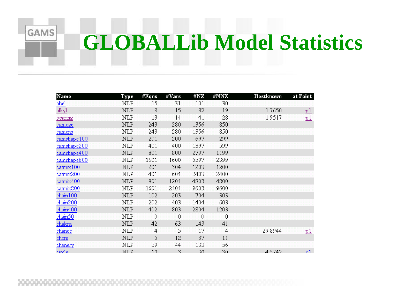## **GLOBALLib Model Statistics**

| Name           | Туре       | #Eqns          | #Vars | #NZ  | #NNZ     | Bestknown | at Point  |
|----------------|------------|----------------|-------|------|----------|-----------|-----------|
| abel           | NLP        | 15             | 31    | 101  | 30       |           |           |
| <u>alkyl</u>   | NLP        | 8              | 15    | 32   | 19       | $-1.7650$ | <u>p1</u> |
| <u>bearing</u> | NLP        | 13             | 14    | 41   | 28       | 1.9517    | <u>p1</u> |
| camege         | NLP        | 243            | 280   | 1356 | 850      |           |           |
| camens         | NLP        | 243            | 280   | 1356 | 850      |           |           |
| camshape100    | NLP        | 201            | 200   | 697  | 299      |           |           |
| camshape200    | NLP        | 401            | 400   | 1397 | 599      |           |           |
| camshape400    | <b>NLP</b> | 801            | 800   | 2797 | 1199     |           |           |
| camshape800    | NLP        | 1601           | 1600  | 5597 | 2399     |           |           |
| catmix100      | NLP        | 201            | 304   | 1203 | 1200     |           |           |
| catmix200      | NLP        | 401            | 604   | 2403 | 2400     |           |           |
| catmix400      | NLP        | 801            | 1204  | 4803 | 4800     |           |           |
| catmix800      | NLP        | 1601           | 2404  | 9603 | 9600     |           |           |
| chain100       | NLP        | 102            | 203   | 704  | 303      |           |           |
| chain200       | NLP        | 202            | 403   | 1404 | 603      |           |           |
| chain400       | NLP        | 402            | 803   | 2804 | 1203     |           |           |
| chain50        | NLP        | 0              | 0     | 0    | $\theta$ |           |           |
| <u>chakra</u>  | NLP        | 42             | 63    | 143  | 41       |           |           |
| chance         | NLP        | 4              | 5     | 17   | 4        | 29.8944   | <u>p1</u> |
| chem           | NLP        | 5              | 12    | 37   | 11       |           |           |
| chenery        | NLP        | 39             | 44    | 133  | 56       |           |           |
| circle         | NT.P       | 1 <sub>0</sub> | 3     | 30   | 30       | 4 5742    | n1        |

**GAMS**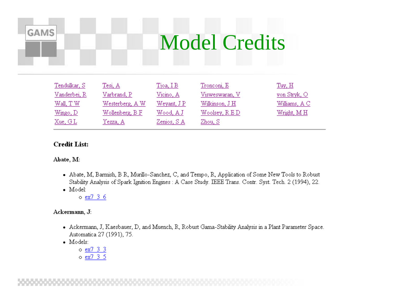### **Model Credits**

| Tendulkar, S | Tesi, A         | $T$ joa, I $B$ | Tronconi, E    | Tuy, H        |
|--------------|-----------------|----------------|----------------|---------------|
| Vanderbei, R | Varbrand, P     | Vicino, A      | Visweswaran, V | von Stryk, O  |
| Wall, T W    | Westerberg, A W | Weyant, J P    | Wilkinson, J H | Williams, A C |
| Wingo, D     | Wollenberg, B F | Wood, A J      | Woolsey, R E D | Wright, MH    |
| Xue, GL      | Yezza, A        | Zenios, S.A.   | Zhou, S        |               |

### **Credit List:**

Abate, M:

**GAMS** 

- Abate, M, Barmish, B R, Murillo-Sanchez, C, and Tempo, R, Application of Some New Tools to Robust Stability Analysis of Spark Ignition Engines : A Case Study. IEEE Trans. Contr. Syst. Tech. 2 (1994), 22.
- $\bullet$  Model:

o ex7 3 6

#### Ackermann, J:

- Ackermann, J, Kaesbauer, D, and Muench, R, Robust Gama-Stability Analysis in a Plant Parameter Space. Automatica 27 (1991), 75.
- · Models:
	- o ex7 3 3
	- o ex7 3 5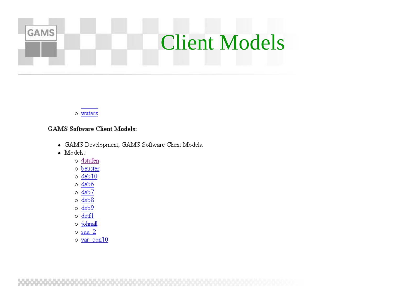### GAMS **Client Models**

o waterz

#### **GAMS Software Client Models:**

- · GAMS Development, GAMS Software Client Models.
- $\bullet$  Models:
	- o 4stufen
	- o beuster
	- $\circ$  deb10
	- $\circ$  deb6
	- $\circ$  deb7
	- $\circ$  deb8
	- $\circ$  deb9
	- $\circ$  detfl
	- o johnall
	- $\circ$  saa 2
	- o var con10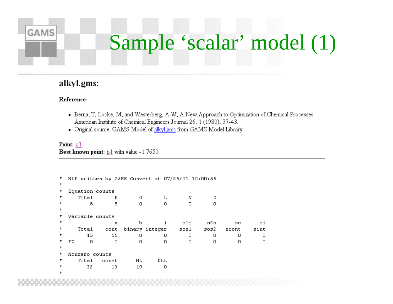## Sample 'scalar' model (1)

### alkyl.gms:

#### Reference:

**GAMS** 

- Berna, T, Locke, M, and Westerberg, A W, A New Approach to Optimization of Chemical Processes. American Institute of Chemical Engineers Journal 26, 1 (1980), 37-43.
- Original source: GAMS Model of alkyl.gms from GAMS Model Library

#### Point:  $p1$ Best known point: p1 with value -1.7650

```
NLP written by GAMS Convert at 07/26/01 10:00:56
\pmb{\pi}\star^\starEquation counts
^\starTotal
                               E
                                            Germanics in the \mathbf{L}_{\mathrm{max}}\mathbf N\mathbf X\Omega\Omega\Box8.
                               8
                                                                                       \Omega\starVariable counts
4
4
                                             b
                                                           i
                                                                                   s2s
                               \mathbf xsis.
                                                                                                   SC.
                                                                                                                 si
\pmb{\pi}cont binary integer
                                                                    sos1
          Total
                                                                                 3032sint
                                                                                              scont
               15
*
                             15
                                             \circ\circ\mathbf{O}0
                                                                                                     \mathbf{O}\circ\pmb{\pi}FXΩ.
                              \circ\circ\cup\mathbf{O}0
                                                                                                     \mathbf{O}\circ\star\pmb{\pi}Nonzero counts
\starTotal
                                           \rm NLDLL
                        const
                                           19
\star32
                             13
                                                           \circ
```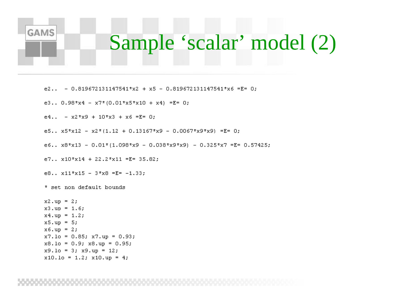## Sample 'scalar' model (2)

e2.. - 0.819672131147541\*x2 + x5 - 0.819672131147541\*x6 =E= 0;

e3.. 0.98\*x4 - x7\*(0.01\*x5\*x10 + x4) =E= 0;

e4.. -  $x2*x9 + 10*x3 + x6 = E = 0$ ;

e5.. x5\*x12 - x2\*(1.12 + 0.13167\*x9 - 0.0067\*x9\*x9) =E= 0;

e6.. x8\*x13 - 0.01\*(1.098\*x9 - 0.038\*x9\*x9) - 0.325\*x7 =E= 0.57425;

e7.. x10\*x14 + 22.2\*x11 =E= 35.82;

e8..  $x11* x15 - 3* x8 = E = -1.33;$ 

\* set non default bounds

**GAMS** 

 $x2.up = 2;$  $x3.up = 1.6;$  $x4.up = 1.2$ ;  $x5.up = 5;$  $x6. up = 2;$  $x7.10 = 0.85$ ;  $x7.up = 0.93$ ;  $x8.10 = 0.9$ ;  $x8.up = 0.95$ ;  $x9.10 = 3$ ;  $x9.up = 12$ ;  $x10.10 = 1.2; x10.up = 4;$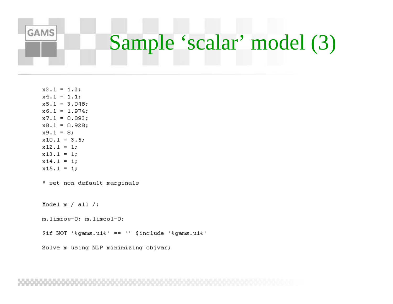# Sample 'scalar' model (3)

```
x3.1 = 1.2;x4.1 = 1.1;x5.1 = 3.048;
x6.1 = 1.974;x7.1 = 0.893;x8.1 = 0.928;x9.1 = 8;
x10.1 = 3.6;x12.1 = 1;x13.1 = 1;
x14.1 = 1;x15.1 = 1;
```
**GAMS** 

\* set non default marginals

Model  $m / all / j$ 

```
m.limrow=0; m.limcol=0;
```
\$if NOT '\*gams.u1\*' == '' \$include '\*gams.u1\*'

Solve m using NLP minimizing objvar;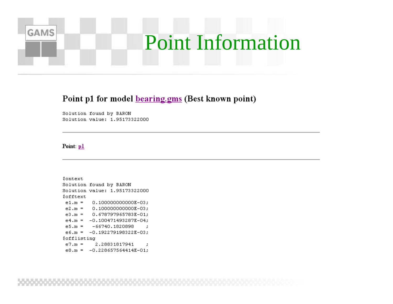## **Point Information**

### Point p1 for model **bearing.gms** (Best known point)

Solution found by BARON Solution value: 1.95173322000

#### Point: p1

**GAMS** 

*\$ontext* Solution found by BARON Solution value: 1.95173322000 *Sofftext*  $e1.m = 0.1000000000000E-03;$  $e2.m = 0.1000000000000E-03;$  $e3.m = 0.678797965783E-01;$  $e4.m = -0.100471493287E-04;$  $e5.m = -66740.1820898$  $\cdot$  $e6.m = -0.192279198322E-03;$ *\$offlisting*  $e7.m =$ 2.28831817941  $\cdot$  $e8.m = -0.228657564414E-01$ ;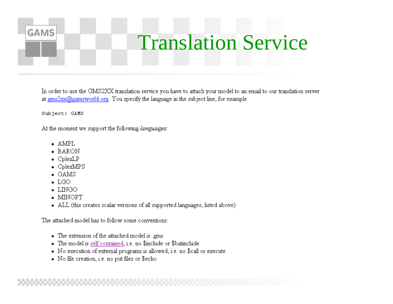## **Translation Service**

In order to use the GMS2XX translation service you have to attach your model to an email to our translation server at  $gms2xx(0)$  gamsworld org. You specify the language in the subject line, for example

Subject: GAMS

**GAMS** 

At the moment we support the following languages:

- $\bullet$  AMPL
- BARON
- $\bullet$  CplexLP
- $\bullet$  CplexMPS
- $\bullet$  GAMS
- $\bullet$  LGO
- $\bullet$  LINGO
- $\bullet$  MINOPT
- ALL (this creates scalar versions of all supported languages, listed above)

The attached model has to follow some conventions:

- The extension of the attached model is .gms
- The model is self contained, i.e. no \$include or \$batinclude
- No execution of external programs is allowed, i.e. no \$call or execute
- No file creation, i.e. no put files or \$echo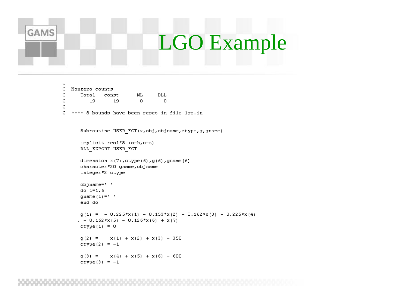### **GAMS** LGO Example

 $\ddot{}$ 

C.

 $\mathtt{C}$ 

C

```
C.
 Nonzero counts
      Total
              const
                         NL.
                                 DLL
         19
                 19
                          \circ\circC **** 8 bounds have been reset in file lgo.in
      Subroutine USER FCT(x, obj, objname, ctype, g, gname)
      implicit real*8 (a-h,o-z)
      DLL EXPORT USER FCT
      dimension x(7), ctype(6), g(6), gname(6)
      character*20 gname, objname
      integer*2 ctype
      objname=' '
      do i=1, 6gname (i) = 1end do
      q(1) = -0.225*x(1) - 0.153*x(2) - 0.162*x(3) - 0.225*x(4). - 0.162 \cdot x(5) - 0.126 \cdot x(6) + x(7)ctype(1) = 0g(2) = x(1) + x(2) + x(3) - 350ctype(2) = -1g(3) = x(4) + x(5) + x(6) - 600ctype(3) = -1
```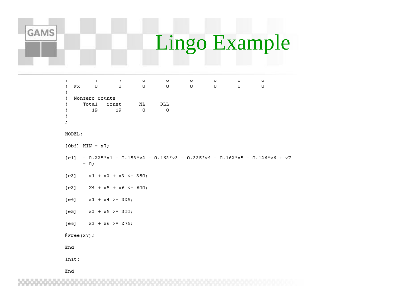## Lingo Example

| ÷      | FX                                            | r.<br>0 | r.<br>ο | U<br>Ω | U<br>Ω | U<br>Ω | U<br>ο | U | u |
|--------|-----------------------------------------------|---------|---------|--------|--------|--------|--------|---|---|
| ÷<br>٠ | Nonzero counts<br>Total<br>NL<br>DLL<br>const |         |         |        |        |        |        |   |   |
| ٠<br>, |                                               | 19      | 19      | n      |        |        |        |   |   |

#### MODEL:

**GAMS** 

- [Obj] MIN =  $x7$ ;
- $[e1]$  0.225\*x1 0.153\*x2 0.162\*x3 0.225\*x4 0.162\*x5 0.126\*x6 + x7  $= 0;$
- $[e2]$  $x1 + x2 + x3 \le 350$ ;
- $[e3]$  $X4 + x5 + x6 \le 600;$
- $[e4]$  $x1 + x4 > = 325$ ;
- $[e5]$  $x2 + x5 > = 300;$
- $x3 + x6 > = 275;$  $[e6]$
- $\theta$ Free $(x7)$ ;

End

Init:

End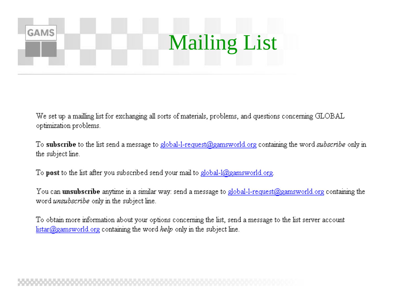## **GAMS Mailing List**

We set up a mailling list for exchanging all sorts of materials, problems, and questions concerning GLOBAL optimization problems.

To **subscribe** to the list send a message to global-1-request@gamsworld.org containing the word *subscribe* only in the subject line.

To **post** to the list after you subscribed send your mail to global- $1$ (@gamsworld.org.

You can **unsubscribe** anytime in a similar way: send a message to global-1-request@gamsworld.org containing the word *unsubscribe* only in the subject line.

To obtain more information about your options concerning the list, send a message to the list server account  $listar(\mathcal{Q})$  gamsworld org containing the word *help* only in the subject line.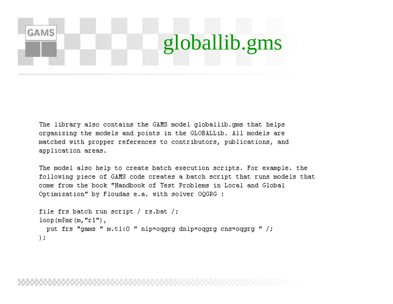## **GAMS** globallib.gms

The library also contains the GAMS model globallib.gms that helps organizing the models and points in the GLOBALLib. All models are matched with propper references to contributors, publications, and application areas.

The model also help to create batch execution scripts. For example, the following piece of GAMS code creates a batch script that runs models that come from the book "Handbook of Test Problems in Local and Global Optimization" by Floudas e.a. with solver OQGRG :

```
file frs batch run script / rs.bat /;
loop (m\fmr(m, "r1"),
  put frs "gams " m.tl:0 " nlp=oqgrg dnlp=oqgrg cns=oqgrq " /;
\mathbf{E}
```